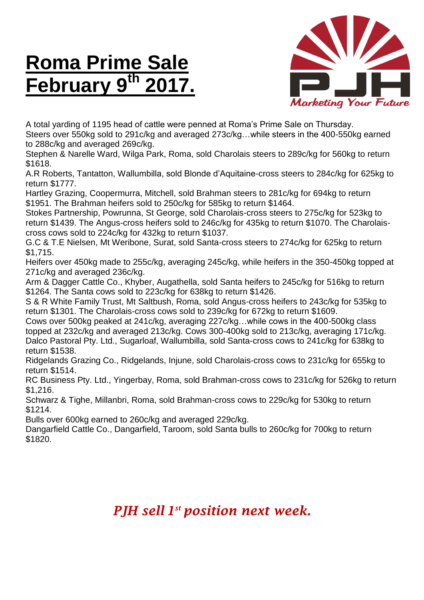## **Roma Prime Sale February 9 th 2017.**



A total yarding of 1195 head of cattle were penned at Roma's Prime Sale on Thursday.

Steers over 550kg sold to 291c/kg and averaged 273c/kg…while steers in the 400-550kg earned to 288c/kg and averaged 269c/kg.

Stephen & Narelle Ward, Wilga Park, Roma, sold Charolais steers to 289c/kg for 560kg to return \$1618.

A.R Roberts, Tantatton, Wallumbilla, sold Blonde d'Aquitaine-cross steers to 284c/kg for 625kg to return \$1777.

Hartley Grazing, Coopermurra, Mitchell, sold Brahman steers to 281c/kg for 694kg to return \$1951. The Brahman heifers sold to 250c/kg for 585kg to return \$1464.

Stokes Partnership, Powrunna, St George, sold Charolais-cross steers to 275c/kg for 523kg to return \$1439. The Angus-cross heifers sold to 246c/kg for 435kg to return \$1070. The Charolaiscross cows sold to 224c/kg for 432kg to return \$1037.

G.C & T.E Nielsen, Mt Weribone, Surat, sold Santa-cross steers to 274c/kg for 625kg to return \$1,715.

Heifers over 450kg made to 255c/kg, averaging 245c/kg, while heifers in the 350-450kg topped at 271c/kg and averaged 236c/kg.

Arm & Dagger Cattle Co., Khyber, Augathella, sold Santa heifers to 245c/kg for 516kg to return \$1264. The Santa cows sold to 223c/kg for 638kg to return \$1426.

S & R White Family Trust, Mt Saltbush, Roma, sold Angus-cross heifers to 243c/kg for 535kg to return \$1301. The Charolais-cross cows sold to 239c/kg for 672kg to return \$1609.

Cows over 500kg peaked at 241c/kg, averaging 227c/kg…while cows in the 400-500kg class topped at 232c/kg and averaged 213c/kg. Cows 300-400kg sold to 213c/kg, averaging 171c/kg. Dalco Pastoral Pty. Ltd., Sugarloaf, Wallumbilla, sold Santa-cross cows to 241c/kg for 638kg to return \$1538.

Ridgelands Grazing Co., Ridgelands, Injune, sold Charolais-cross cows to 231c/kg for 655kg to return \$1514.

RC Business Pty. Ltd., Yingerbay, Roma, sold Brahman-cross cows to 231c/kg for 526kg to return \$1,216.

Schwarz & Tighe, Millanbri, Roma, sold Brahman-cross cows to 229c/kg for 530kg to return \$1214.

Bulls over 600kg earned to 260c/kg and averaged 229c/kg.

Dangarfield Cattle Co., Dangarfield, Taroom, sold Santa bulls to 260c/kg for 700kg to return \$1820.

## *PJH sell 1 st position next week.*